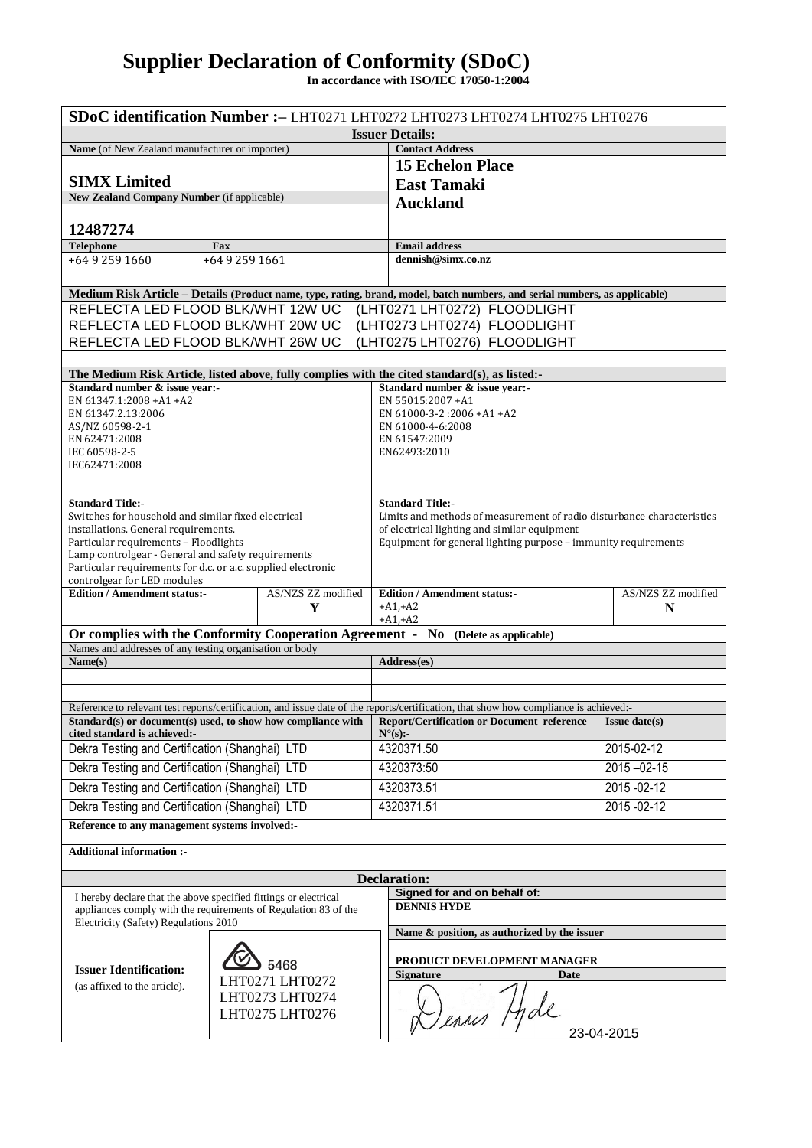## **Supplier Declaration of Conformity (SDoC)**

**In accordance with ISO/IEC 17050-1:2004**

| SDoC identification Number :- LHT0271 LHT0272 LHT0273 LHT0274 LHT0275 LHT0276                                                                             |                                    |                 |                                     |                                                                                                                |                  |  |  |
|-----------------------------------------------------------------------------------------------------------------------------------------------------------|------------------------------------|-----------------|-------------------------------------|----------------------------------------------------------------------------------------------------------------|------------------|--|--|
| <b>Issuer Details:</b>                                                                                                                                    |                                    |                 |                                     |                                                                                                                |                  |  |  |
| Name (of New Zealand manufacturer or importer)                                                                                                            |                                    |                 |                                     | <b>Contact Address</b>                                                                                         |                  |  |  |
|                                                                                                                                                           |                                    |                 |                                     | <b>15 Echelon Place</b>                                                                                        |                  |  |  |
| <b>SIMX Limited</b>                                                                                                                                       |                                    |                 |                                     | <b>East Tamaki</b>                                                                                             |                  |  |  |
| New Zealand Company Number (if applicable)                                                                                                                |                                    |                 |                                     | <b>Auckland</b>                                                                                                |                  |  |  |
| 12487274                                                                                                                                                  |                                    |                 |                                     |                                                                                                                |                  |  |  |
| <b>Telephone</b><br>Fax                                                                                                                                   |                                    |                 |                                     | <b>Email address</b>                                                                                           |                  |  |  |
| +64 9 259 1660<br>+64 9 259 1661                                                                                                                          |                                    |                 |                                     | dennish@simx.co.nz                                                                                             |                  |  |  |
|                                                                                                                                                           |                                    |                 |                                     |                                                                                                                |                  |  |  |
| Medium Risk Article – Details (Product name, type, rating, brand, model, batch numbers, and serial numbers, as applicable)                                |                                    |                 |                                     |                                                                                                                |                  |  |  |
| REFLECTA LED FLOOD BLK/WHT 12W UC<br>(LHT0271 LHT0272)<br><b>FLOODLIGHT</b>                                                                               |                                    |                 |                                     |                                                                                                                |                  |  |  |
| REFLECTA LED FLOOD BLK/WHT 20W UC<br>(LHT0273 LHT0274) FLOODLIGHT                                                                                         |                                    |                 |                                     |                                                                                                                |                  |  |  |
| REFLECTA LED FLOOD BLK/WHT 26W UC<br>(LHT0275 LHT0276) FLOODLIGHT                                                                                         |                                    |                 |                                     |                                                                                                                |                  |  |  |
| The Medium Risk Article, listed above, fully complies with the cited standard(s), as listed:-                                                             |                                    |                 |                                     |                                                                                                                |                  |  |  |
| Standard number & issue year:-                                                                                                                            |                                    |                 |                                     | Standard number & issue vear:-                                                                                 |                  |  |  |
| EN 61347.1:2008 + A1 + A2                                                                                                                                 |                                    |                 |                                     | EN 55015:2007 +A1                                                                                              |                  |  |  |
| EN 61347.2.13:2006                                                                                                                                        |                                    |                 |                                     | EN 61000-3-2:2006 +A1 +A2                                                                                      |                  |  |  |
| AS/NZ 60598-2-1<br>EN 62471:2008                                                                                                                          |                                    |                 |                                     | EN 61000-4-6:2008<br>EN 61547:2009                                                                             |                  |  |  |
| IEC 60598-2-5                                                                                                                                             |                                    |                 |                                     | EN62493:2010                                                                                                   |                  |  |  |
| IEC62471:2008                                                                                                                                             |                                    |                 |                                     |                                                                                                                |                  |  |  |
|                                                                                                                                                           |                                    |                 |                                     |                                                                                                                |                  |  |  |
| <b>Standard Title:-</b>                                                                                                                                   |                                    |                 |                                     | <b>Standard Title:-</b>                                                                                        |                  |  |  |
| Switches for household and similar fixed electrical                                                                                                       |                                    |                 |                                     | Limits and methods of measurement of radio disturbance characteristics                                         |                  |  |  |
| installations. General requirements.<br>Particular requirements - Floodlights                                                                             |                                    |                 |                                     | of electrical lighting and similar equipment<br>Equipment for general lighting purpose - immunity requirements |                  |  |  |
| Lamp controlgear - General and safety requirements                                                                                                        |                                    |                 |                                     |                                                                                                                |                  |  |  |
| Particular requirements for d.c. or a.c. supplied electronic                                                                                              |                                    |                 |                                     |                                                                                                                |                  |  |  |
| controlgear for LED modules<br>AS/NZS ZZ modified<br><b>Edition / Amendment status:-</b>                                                                  |                                    |                 | <b>Edition / Amendment status:-</b> | AS/NZS ZZ modified                                                                                             |                  |  |  |
|                                                                                                                                                           |                                    | Y               |                                     | $+A1, +A2$                                                                                                     | N                |  |  |
|                                                                                                                                                           |                                    |                 |                                     | $+A1, +A2$                                                                                                     |                  |  |  |
| Or complies with the Conformity Cooperation Agreement - No (Delete as applicable)<br>Names and addresses of any testing organisation or body              |                                    |                 |                                     |                                                                                                                |                  |  |  |
| Name(s)                                                                                                                                                   |                                    |                 |                                     | Address(es)                                                                                                    |                  |  |  |
|                                                                                                                                                           |                                    |                 |                                     |                                                                                                                |                  |  |  |
|                                                                                                                                                           |                                    |                 |                                     |                                                                                                                |                  |  |  |
| Reference to relevant test reports/certification, and issue date of the reports/certification, that show how compliance is achieved:-                     |                                    |                 |                                     |                                                                                                                |                  |  |  |
| Standard(s) or document(s) used, to show how compliance with<br>cited standard is achieved:-                                                              |                                    |                 |                                     | <b>Report/Certification or Document reference</b><br>$N^{\circ}(s)$ :-                                         | $Is use date(s)$ |  |  |
| Dekra Testing and Certification (Shanghai) LTD                                                                                                            |                                    |                 |                                     | 4320371.50                                                                                                     | 2015-02-12       |  |  |
| Dekra Testing and Certification (Shanghai) LTD                                                                                                            |                                    |                 |                                     | 4320373:50                                                                                                     | $2015 - 02 - 15$ |  |  |
| Dekra Testing and Certification (Shanghai) LTD                                                                                                            |                                    |                 |                                     | 4320373.51                                                                                                     | $2015 - 02 - 12$ |  |  |
| Dekra Testing and Certification (Shanghai) LTD                                                                                                            |                                    |                 |                                     | 4320371.51                                                                                                     | 2015 - 02 - 12   |  |  |
| Reference to any management systems involved:-                                                                                                            |                                    |                 |                                     |                                                                                                                |                  |  |  |
|                                                                                                                                                           |                                    |                 |                                     |                                                                                                                |                  |  |  |
| <b>Additional information:-</b>                                                                                                                           |                                    |                 |                                     |                                                                                                                |                  |  |  |
| <b>Declaration:</b>                                                                                                                                       |                                    |                 |                                     |                                                                                                                |                  |  |  |
| Signed for and on behalf of:                                                                                                                              |                                    |                 |                                     |                                                                                                                |                  |  |  |
| I hereby declare that the above specified fittings or electrical<br><b>DENNIS HYDE</b><br>appliances comply with the requirements of Regulation 83 of the |                                    |                 |                                     |                                                                                                                |                  |  |  |
| Electricity (Safety) Regulations 2010                                                                                                                     |                                    |                 |                                     | Name & position, as authorized by the issuer                                                                   |                  |  |  |
|                                                                                                                                                           |                                    |                 |                                     |                                                                                                                |                  |  |  |
|                                                                                                                                                           | 5468                               |                 |                                     | PRODUCT DEVELOPMENT MANAGER                                                                                    |                  |  |  |
| <b>Issuer Identification:</b>                                                                                                                             |                                    | LHT0271 LHT0272 |                                     | <b>Signature</b><br>Date                                                                                       |                  |  |  |
| (as affixed to the article).                                                                                                                              | LHT0273 LHT0274<br>LHT0275 LHT0276 |                 |                                     |                                                                                                                |                  |  |  |
|                                                                                                                                                           |                                    |                 |                                     | Dennes Hde                                                                                                     |                  |  |  |
|                                                                                                                                                           |                                    |                 |                                     |                                                                                                                | 23-04-2015       |  |  |